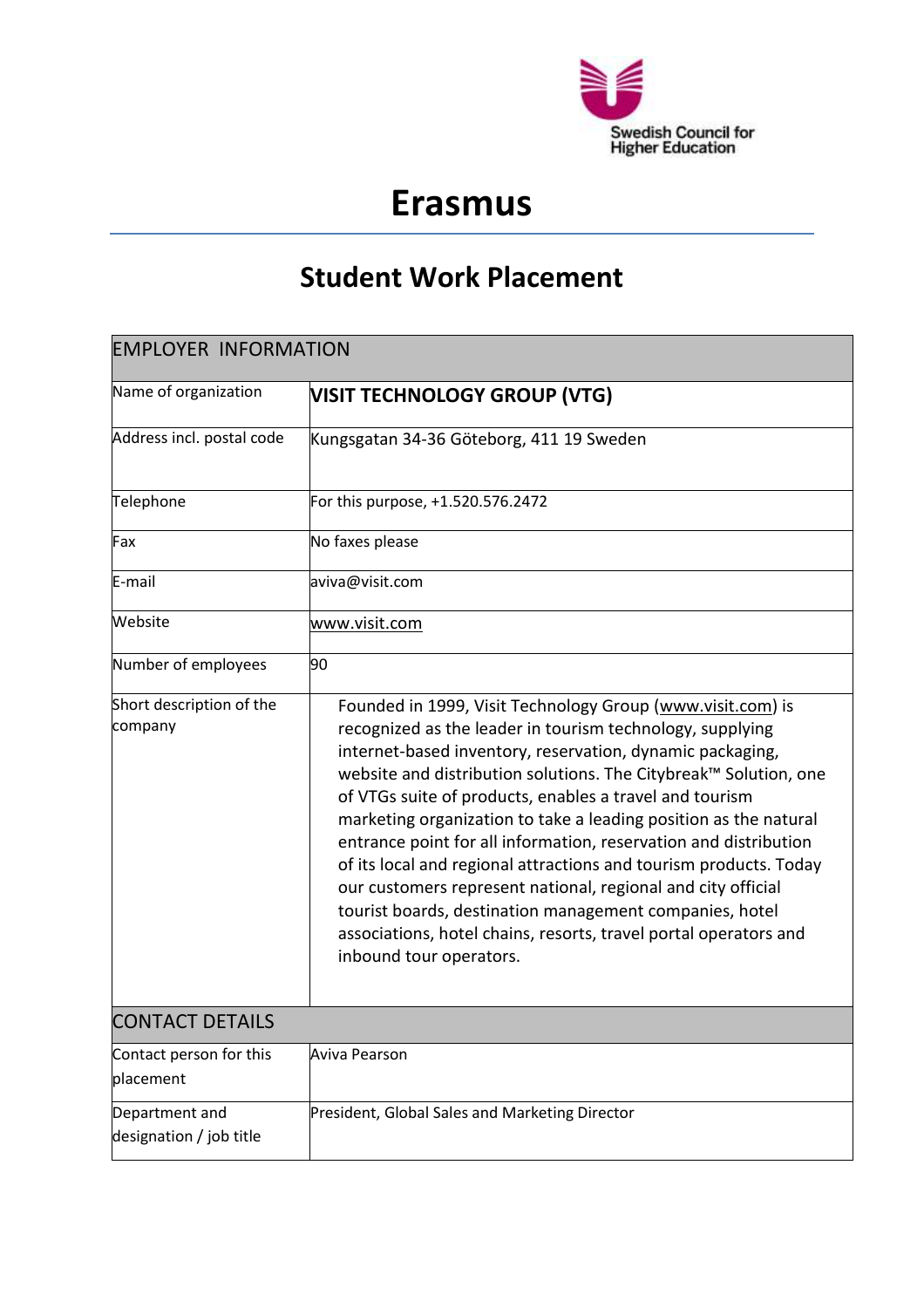

## **Erasmus**

## **Student Work Placement**

| <b>EMPLOYER INFORMATION</b>               |                                                                                                                                                                                                                                                                                                                                                                                                                                                                                                                                                                                                                                                                                                                                                            |  |
|-------------------------------------------|------------------------------------------------------------------------------------------------------------------------------------------------------------------------------------------------------------------------------------------------------------------------------------------------------------------------------------------------------------------------------------------------------------------------------------------------------------------------------------------------------------------------------------------------------------------------------------------------------------------------------------------------------------------------------------------------------------------------------------------------------------|--|
| Name of organization                      | <b>VISIT TECHNOLOGY GROUP (VTG)</b>                                                                                                                                                                                                                                                                                                                                                                                                                                                                                                                                                                                                                                                                                                                        |  |
| Address incl. postal code                 | Kungsgatan 34-36 Göteborg, 411 19 Sweden                                                                                                                                                                                                                                                                                                                                                                                                                                                                                                                                                                                                                                                                                                                   |  |
| Telephone                                 | For this purpose, +1.520.576.2472                                                                                                                                                                                                                                                                                                                                                                                                                                                                                                                                                                                                                                                                                                                          |  |
| Fax                                       | No faxes please                                                                                                                                                                                                                                                                                                                                                                                                                                                                                                                                                                                                                                                                                                                                            |  |
| E-mail                                    | aviva@visit.com                                                                                                                                                                                                                                                                                                                                                                                                                                                                                                                                                                                                                                                                                                                                            |  |
| Website                                   | www.visit.com                                                                                                                                                                                                                                                                                                                                                                                                                                                                                                                                                                                                                                                                                                                                              |  |
| Number of employees                       | 90                                                                                                                                                                                                                                                                                                                                                                                                                                                                                                                                                                                                                                                                                                                                                         |  |
| Short description of the<br>company       | Founded in 1999, Visit Technology Group (www.visit.com) is<br>recognized as the leader in tourism technology, supplying<br>internet-based inventory, reservation, dynamic packaging,<br>website and distribution solutions. The Citybreak™ Solution, one<br>of VTGs suite of products, enables a travel and tourism<br>marketing organization to take a leading position as the natural<br>entrance point for all information, reservation and distribution<br>of its local and regional attractions and tourism products. Today<br>our customers represent national, regional and city official<br>tourist boards, destination management companies, hotel<br>associations, hotel chains, resorts, travel portal operators and<br>inbound tour operators. |  |
| <b>CONTACT DETAILS</b>                    |                                                                                                                                                                                                                                                                                                                                                                                                                                                                                                                                                                                                                                                                                                                                                            |  |
| Contact person for this<br>placement      | Aviva Pearson                                                                                                                                                                                                                                                                                                                                                                                                                                                                                                                                                                                                                                                                                                                                              |  |
| Department and<br>designation / job title | President, Global Sales and Marketing Director                                                                                                                                                                                                                                                                                                                                                                                                                                                                                                                                                                                                                                                                                                             |  |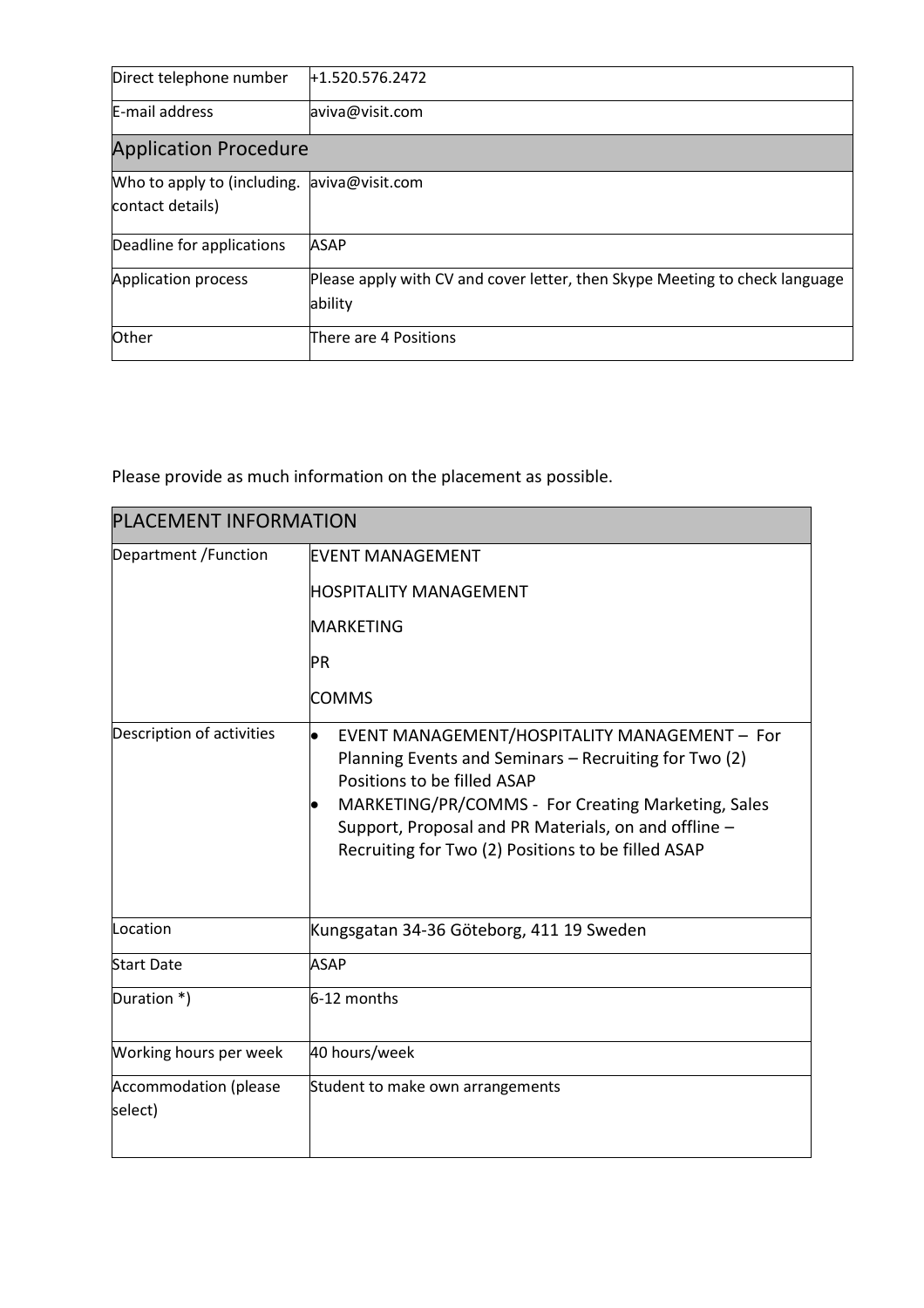| Direct telephone number                              | +1.520.576.2472                                                             |  |
|------------------------------------------------------|-----------------------------------------------------------------------------|--|
| E-mail address                                       | aviva@visit.com                                                             |  |
| <b>Application Procedure</b>                         |                                                                             |  |
| Who to apply to (including. $\alpha$ aviva@visit.com |                                                                             |  |
| contact details)                                     |                                                                             |  |
| Deadline for applications                            | <b>ASAP</b>                                                                 |  |
| Application process                                  | Please apply with CV and cover letter, then Skype Meeting to check language |  |
|                                                      | ability                                                                     |  |
| <b>Other</b>                                         | There are 4 Positions                                                       |  |

Please provide as much information on the placement as possible.

| <b>PLACEMENT INFORMATION</b>     |                                                                                                                                                                                                                                                                                                                 |  |
|----------------------------------|-----------------------------------------------------------------------------------------------------------------------------------------------------------------------------------------------------------------------------------------------------------------------------------------------------------------|--|
| Department / Function            | <b>EVENT MANAGEMENT</b><br><b>HOSPITALITY MANAGEMENT</b><br><b>MARKETING</b><br>PR<br><b>COMMS</b>                                                                                                                                                                                                              |  |
| Description of activities        | EVENT MANAGEMENT/HOSPITALITY MANAGEMENT - For<br>l.<br>Planning Events and Seminars - Recruiting for Two (2)<br>Positions to be filled ASAP<br>MARKETING/PR/COMMS - For Creating Marketing, Sales<br>Support, Proposal and PR Materials, on and offline -<br>Recruiting for Two (2) Positions to be filled ASAP |  |
| Location                         | Kungsgatan 34-36 Göteborg, 411 19 Sweden                                                                                                                                                                                                                                                                        |  |
| <b>Start Date</b>                | <b>ASAP</b>                                                                                                                                                                                                                                                                                                     |  |
| Duration *)                      | $6-12$ months                                                                                                                                                                                                                                                                                                   |  |
| Working hours per week           | 40 hours/week                                                                                                                                                                                                                                                                                                   |  |
| Accommodation (please<br>select) | Student to make own arrangements                                                                                                                                                                                                                                                                                |  |